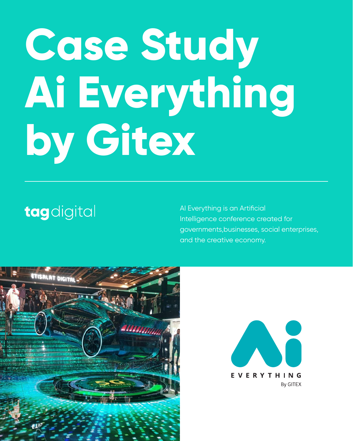# **Case Study Ai Everything by Gitex**

# tagdigital

AI Everything is an Artificial Intelligence conference created for governments,businesses, social enterprises, and the creative economy.





#### EVERYTHING **By GITEX**